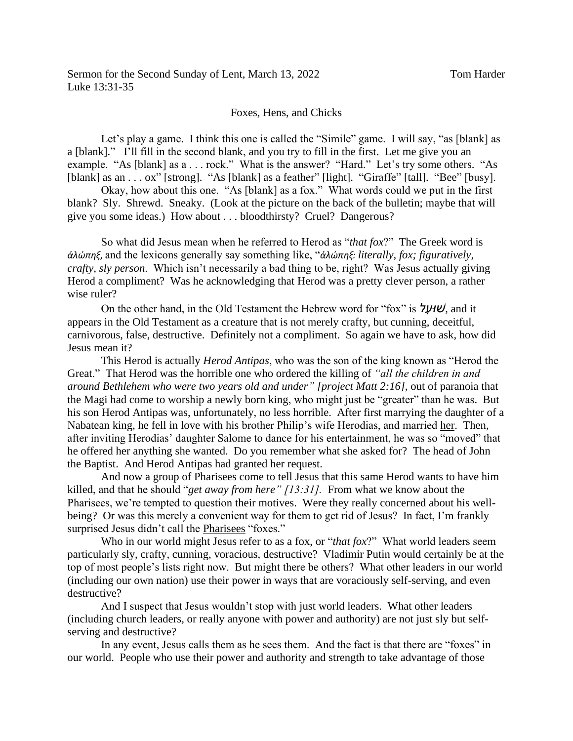## Foxes, Hens, and Chicks

Let's play a game. I think this one is called the "Simile" game. I will say, "as [blank] as a [blank]." I'll fill in the second blank, and you try to fill in the first. Let me give you an example. "As [blank] as a . . . rock." What is the answer? "Hard." Let's try some others. "As [blank] as an . . . ox" [strong]. "As [blank] as a feather" [light]. "Giraffe" [tall]. "Bee" [busy].

Okay, how about this one. "As [blank] as a fox." What words could we put in the first blank? Sly. Shrewd. Sneaky. (Look at the picture on the back of the bulletin; maybe that will give you some ideas.) How about . . . bloodthirsty? Cruel? Dangerous?

So what did Jesus mean when he referred to Herod as "*that fox*?" The Greek word is *ἀλώπηξ*, and the lexicons generally say something like, "*ἀλώπηξ: literally, fox; figuratively, crafty, sly person*. Which isn't necessarily a bad thing to be, right? Was Jesus actually giving Herod a compliment? Was he acknowledging that Herod was a pretty clever person, a rather wise ruler?

On the other hand, in the Old Testament the Hebrew word for "fox" is *עלָ וּשׁ*, and it appears in the Old Testament as a creature that is not merely crafty, but cunning, deceitful, carnivorous, false, destructive. Definitely not a compliment. So again we have to ask, how did Jesus mean it?

This Herod is actually *Herod Antipas*, who was the son of the king known as "Herod the Great." That Herod was the horrible one who ordered the killing of *"all the children in and around Bethlehem who were two years old and under" [project Matt 2:16],* out of paranoia that the Magi had come to worship a newly born king, who might just be "greater" than he was. But his son Herod Antipas was, unfortunately, no less horrible. After first marrying the daughter of a Nabatean king, he fell in love with his brother Philip's wife Herodias, and married her. Then, after inviting Herodias' daughter Salome to dance for his entertainment, he was so "moved" that he offered her anything she wanted. Do you remember what she asked for? The head of John the Baptist. And Herod Antipas had granted her request.

And now a group of Pharisees come to tell Jesus that this same Herod wants to have him killed, and that he should "*get away from here" [13:31].* From what we know about the Pharisees, we're tempted to question their motives. Were they really concerned about his wellbeing? Or was this merely a convenient way for them to get rid of Jesus? In fact, I'm frankly surprised Jesus didn't call the Pharisees "foxes."

Who in our world might Jesus refer to as a fox, or "*that fox*?" What world leaders seem particularly sly, crafty, cunning, voracious, destructive? Vladimir Putin would certainly be at the top of most people's lists right now. But might there be others? What other leaders in our world (including our own nation) use their power in ways that are voraciously self-serving, and even destructive?

And I suspect that Jesus wouldn't stop with just world leaders. What other leaders (including church leaders, or really anyone with power and authority) are not just sly but selfserving and destructive?

In any event, Jesus calls them as he sees them. And the fact is that there are "foxes" in our world. People who use their power and authority and strength to take advantage of those